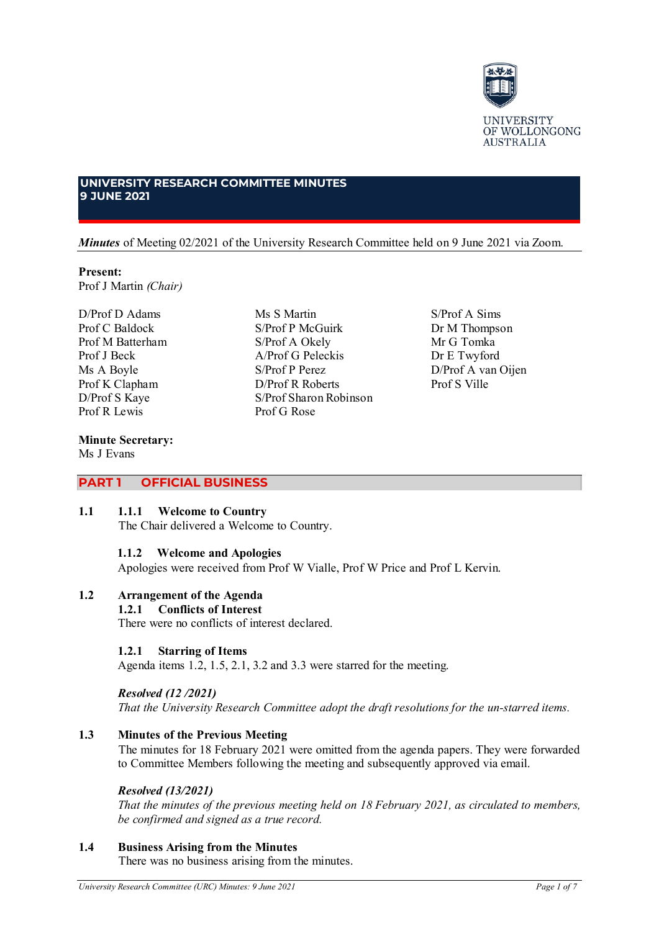

# **UNIVERSITY RESEARCH COMMITTEE MINUTES 9 JUNE 2021**

## *Minutes* of Meeting 02/2021 of the University Research Committee held on 9 June 2021 via Zoom.

Ms S Martin S/Prof P McGuirk S/Prof A Okely A/Prof G Peleckis S/Prof P Perez D/Prof R Roberts S/Prof Sharon Robinson

Prof G Rose

## **Present:**

Prof J Martin *(Chair)*

D/Prof D Adams Prof C Baldock Prof M Batterham Prof J Beck Ms A Boyle Prof K Clapham D/Prof S Kaye Prof R Lewis

## **Minute Secretary:**

Ms J Evans

# **PART 1 OFFICIAL BUSINESS**

## **1.1 1.1.1 Welcome to Country**

The Chair delivered a Welcome to Country.

## **1.1.2 Welcome and Apologies**

Apologies were received from Prof W Vialle, Prof W Price and Prof L Kervin.

# **1.2 Arrangement of the Agenda**

# **1.2.1 Conflicts of Interest**

There were no conflicts of interest declared.

## **1.2.1 Starring of Items**

Agenda items 1.2, 1.5, 2.1, 3.2 and 3.3 were starred for the meeting.

## *Resolved (12 /2021) That the University Research Committee adopt the draft resolutions for the un-starred items.*

# **1.3 Minutes of the Previous Meeting**

The minutes for 18 February 2021 were omitted from the agenda papers. They were forwarded to Committee Members following the meeting and subsequently approved via email.

# *Resolved (13/2021)*

*That the minutes of the previous meeting held on 18 February 2021, as circulated to members, be confirmed and signed as a true record.*

# **1.4 Business Arising from the Minutes**

There was no business arising from the minutes.

S/Prof A Sims Dr M Thompson Mr G Tomka Dr E Twyford D/Prof A van Oijen Prof S Ville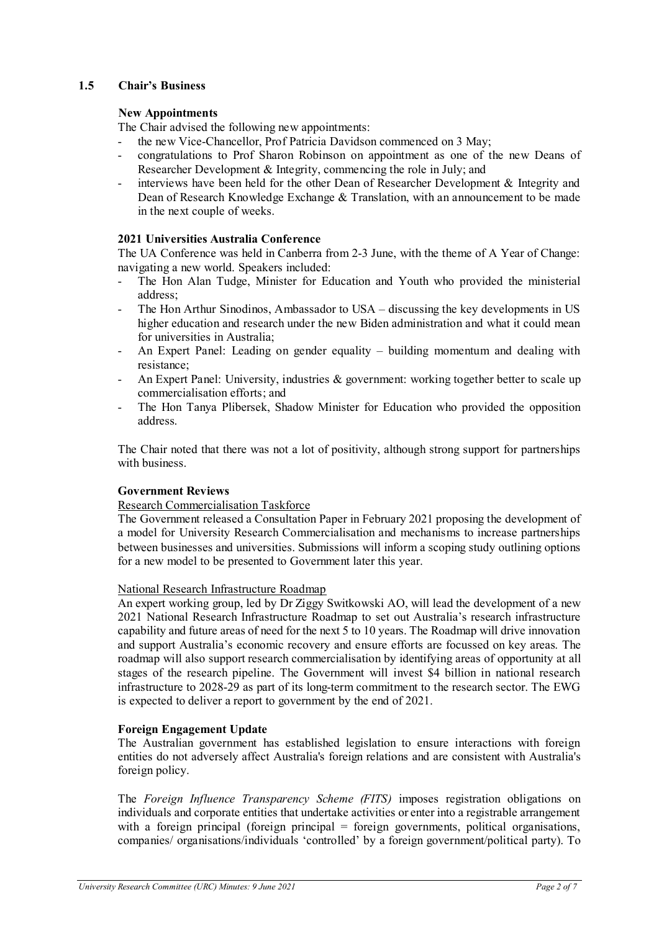# **1.5 Chair's Business**

# **New Appointments**

The Chair advised the following new appointments:

- the new Vice-Chancellor, Prof Patricia Davidson commenced on 3 May;
- congratulations to Prof Sharon Robinson on appointment as one of the new Deans of Researcher Development & Integrity, commencing the role in July; and
- interviews have been held for the other Dean of Researcher Development & Integrity and Dean of Research Knowledge Exchange & Translation, with an announcement to be made in the next couple of weeks.

## **2021 Universities Australia Conference**

The UA Conference was held in Canberra from 2-3 June, with the theme of A Year of Change: navigating a new world. Speakers included:

- The Hon Alan Tudge, Minister for Education and Youth who provided the ministerial address;
- The Hon Arthur Sinodinos, Ambassador to USA discussing the key developments in US higher education and research under the new Biden administration and what it could mean for universities in Australia;
- An Expert Panel: Leading on gender equality building momentum and dealing with resistance;
- An Expert Panel: University, industries & government: working together better to scale up commercialisation efforts; and
- The Hon Tanya Plibersek, Shadow Minister for Education who provided the opposition address.

The Chair noted that there was not a lot of positivity, although strong support for partnerships with business.

## **Government Reviews**

## Research Commercialisation Taskforce

The Government released a Consultation Paper in February 2021 proposing the development of a model for University Research Commercialisation and mechanisms to increase partnerships between businesses and universities. Submissions will inform a scoping study outlining options for a new model to be presented to Government later this year.

## National Research Infrastructure Roadmap

An expert working group, led by Dr Ziggy Switkowski AO, will lead the development of a new 2021 National Research Infrastructure Roadmap to set out Australia's research infrastructure capability and future areas of need for the next 5 to 10 years. The Roadmap will drive innovation and support Australia's economic recovery and ensure efforts are focussed on key areas. The roadmap will also support research commercialisation by identifying areas of opportunity at all stages of the research pipeline. The Government will invest \$4 billion in national research infrastructure to 2028-29 as part of its long-term commitment to the research sector. The EWG is expected to deliver a report to government by the end of 2021.

## **Foreign Engagement Update**

The Australian government has established legislation to ensure interactions with foreign entities do not adversely affect Australia's foreign relations and are consistent with Australia's foreign policy.

The *Foreign Influence Transparency Scheme (FITS)* imposes registration obligations on individuals and corporate entities that undertake activities or enter into a registrable arrangement with a foreign principal (foreign principal = foreign governments, political organisations, companies/ organisations/individuals 'controlled' by a foreign government/political party). To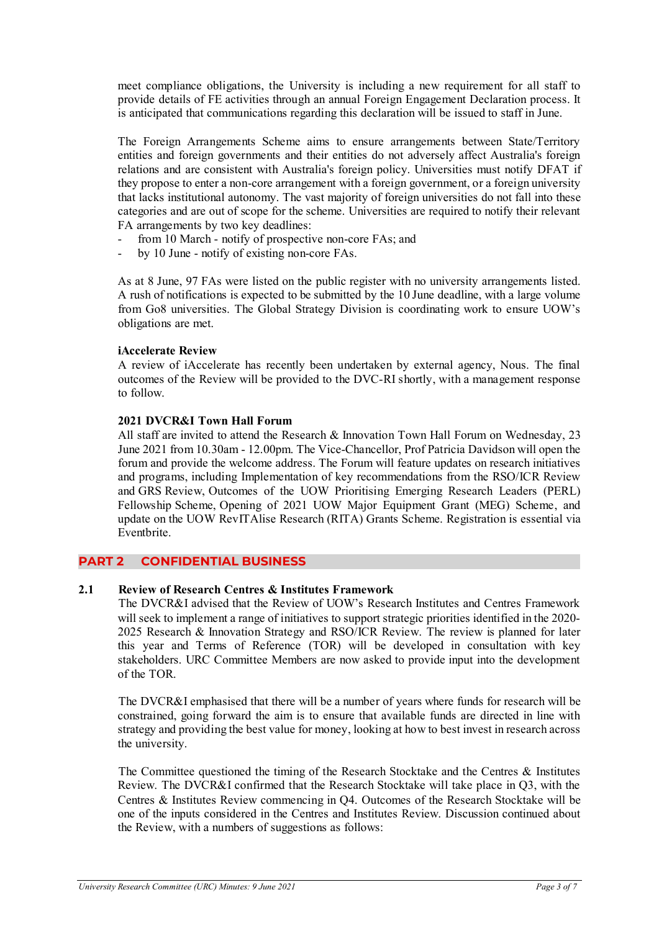meet compliance obligations, the University is including a new requirement for all staff to provide details of FE activities through an annual Foreign Engagement Declaration process. It is anticipated that communications regarding this declaration will be issued to staff in June.

The Foreign Arrangements Scheme aims to ensure arrangements between State/Territory entities and foreign governments and their entities do not adversely affect Australia's foreign relations and are consistent with Australia's foreign policy. Universities must notify DFAT if they propose to enter a non-core arrangement with a foreign government, or a foreign university that lacks institutional autonomy. The vast majority of foreign universities do not fall into these categories and are out of scope for the scheme. Universities are required to notify their relevant FA arrangements by two key deadlines:

- from 10 March notify of prospective non-core FAs; and
- by 10 June notify of existing non-core FAs.

As at 8 June, 97 FAs were listed on the public register with no university arrangements listed. A rush of notifications is expected to be submitted by the 10 June deadline, with a large volume from Go8 universities. The Global Strategy Division is coordinating work to ensure UOW's obligations are met.

## **iAccelerate Review**

A review of iAccelerate has recently been undertaken by external agency, Nous. The final outcomes of the Review will be provided to the DVC-RI shortly, with a management response to follow.

## **2021 DVCR&I Town Hall Forum**

All staff are invited to attend the Research & Innovation Town Hall Forum on Wednesday, 23 June 2021 from 10.30am - 12.00pm. The Vice-Chancellor, Prof Patricia Davidson will open the forum and provide the welcome address. The Forum will feature updates on research initiatives and programs, including Implementation of key recommendations from the RSO/ICR Review and GRS Review, Outcomes of the UOW Prioritising Emerging Research Leaders (PERL) Fellowship Scheme, Opening of 2021 UOW Major Equipment Grant (MEG) Scheme, and update on the UOW RevITAlise Research (RITA) Grants Scheme. Registration is essential via Eventbrite.

# **PART 2 CONFIDENTIAL BUSINESS**

## **2.1 Review of Research Centres & Institutes Framework**

The DVCR&I advised that the Review of UOW's Research Institutes and Centres Framework will seek to implement a range of initiatives to support strategic priorities identified in the 2020- 2025 Research & Innovation Strategy and RSO/ICR Review. The review is planned for later this year and Terms of Reference (TOR) will be developed in consultation with key stakeholders. URC Committee Members are now asked to provide input into the development of the TOR.

The DVCR&I emphasised that there will be a number of years where funds for research will be constrained, going forward the aim is to ensure that available funds are directed in line with strategy and providing the best value for money, looking at how to best invest in research across the university.

The Committee questioned the timing of the Research Stocktake and the Centres & Institutes Review. The DVCR&I confirmed that the Research Stocktake will take place in Q3, with the Centres & Institutes Review commencing in Q4. Outcomes of the Research Stocktake will be one of the inputs considered in the Centres and Institutes Review. Discussion continued about the Review, with a numbers of suggestions as follows: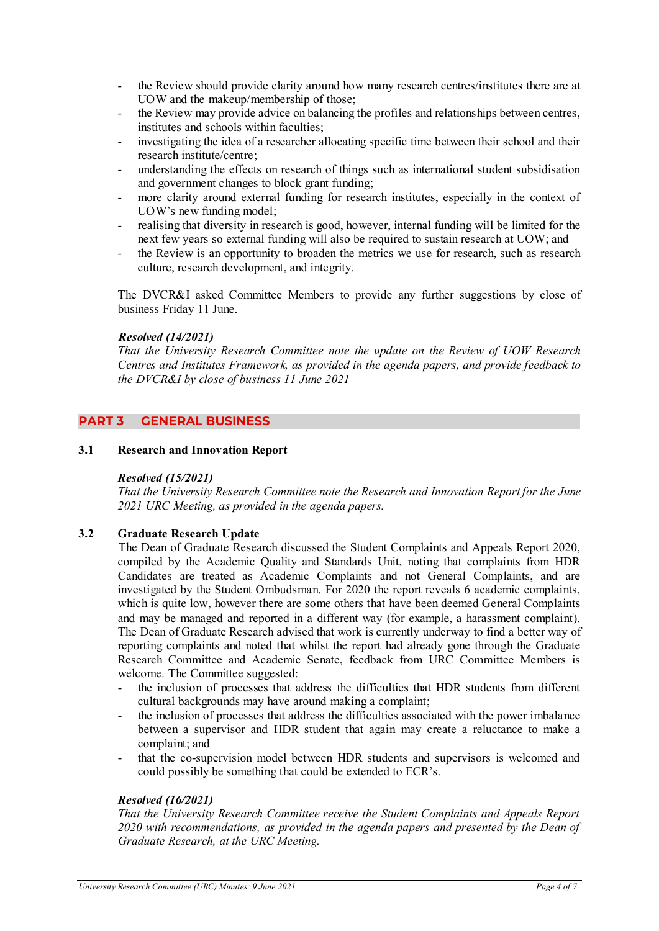- the Review should provide clarity around how many research centres/institutes there are at UOW and the makeup/membership of those;
- the Review may provide advice on balancing the profiles and relationships between centres, institutes and schools within faculties;
- investigating the idea of a researcher allocating specific time between their school and their research institute/centre;
- understanding the effects on research of things such as international student subsidisation and government changes to block grant funding;
- more clarity around external funding for research institutes, especially in the context of UOW's new funding model;
- realising that diversity in research is good, however, internal funding will be limited for the next few years so external funding will also be required to sustain research at UOW; and
- the Review is an opportunity to broaden the metrics we use for research, such as research culture, research development, and integrity.

The DVCR&I asked Committee Members to provide any further suggestions by close of business Friday 11 June.

## *Resolved (14/2021)*

*That the University Research Committee note the update on the Review of UOW Research Centres and Institutes Framework, as provided in the agenda papers, and provide feedback to the DVCR&I by close of business 11 June 2021*

# **PART 3 GENERAL BUSINESS**

## **3.1 Research and Innovation Report**

## *Resolved (15/2021)*

*That the University Research Committee note the Research and Innovation Report for the June 2021 URC Meeting, as provided in the agenda papers.*

## **3.2 Graduate Research Update**

The Dean of Graduate Research discussed the Student Complaints and Appeals Report 2020, compiled by the Academic Quality and Standards Unit, noting that complaints from HDR Candidates are treated as Academic Complaints and not General Complaints, and are investigated by the Student Ombudsman. For 2020 the report reveals 6 academic complaints, which is quite low, however there are some others that have been deemed General Complaints and may be managed and reported in a different way (for example, a harassment complaint). The Dean of Graduate Research advised that work is currently underway to find a better way of reporting complaints and noted that whilst the report had already gone through the Graduate Research Committee and Academic Senate, feedback from URC Committee Members is welcome. The Committee suggested:

- the inclusion of processes that address the difficulties that HDR students from different cultural backgrounds may have around making a complaint;
- the inclusion of processes that address the difficulties associated with the power imbalance between a supervisor and HDR student that again may create a reluctance to make a complaint; and
- that the co-supervision model between HDR students and supervisors is welcomed and could possibly be something that could be extended to ECR's.

## *Resolved (16/2021)*

*That the University Research Committee receive the Student Complaints and Appeals Report 2020 with recommendations, as provided in the agenda papers and presented by the Dean of Graduate Research, at the URC Meeting.*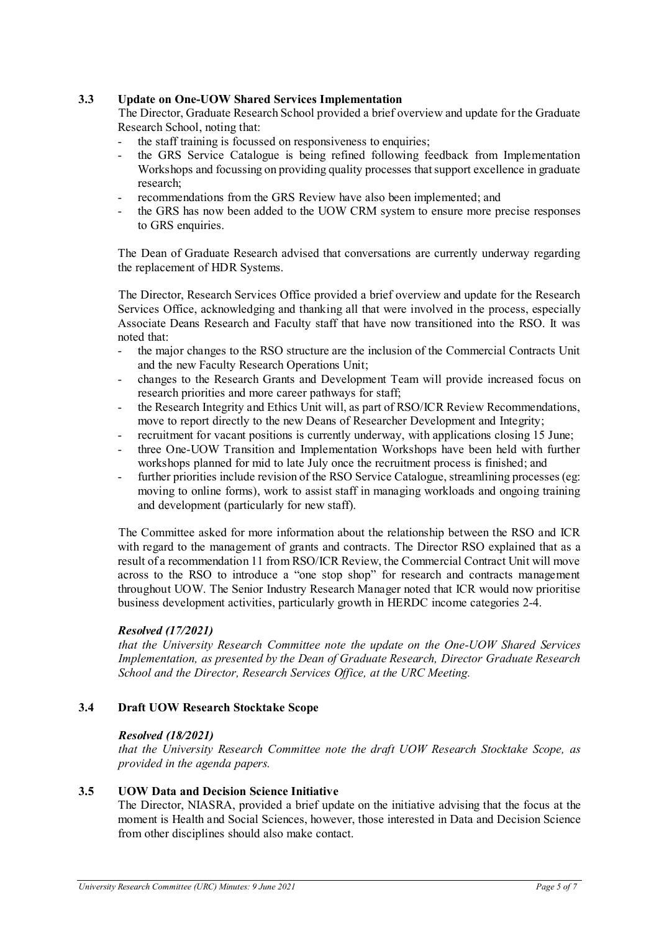# **3.3 Update on One-UOW Shared Services Implementation**

The Director, Graduate Research School provided a brief overview and update for the Graduate Research School, noting that:

- the staff training is focussed on responsiveness to enquiries;
- the GRS Service Catalogue is being refined following feedback from Implementation Workshops and focussing on providing quality processes that support excellence in graduate research;
- recommendations from the GRS Review have also been implemented; and
- the GRS has now been added to the UOW CRM system to ensure more precise responses to GRS enquiries.

The Dean of Graduate Research advised that conversations are currently underway regarding the replacement of HDR Systems.

The Director, Research Services Office provided a brief overview and update for the Research Services Office, acknowledging and thanking all that were involved in the process, especially Associate Deans Research and Faculty staff that have now transitioned into the RSO. It was noted that:

- the major changes to the RSO structure are the inclusion of the Commercial Contracts Unit and the new Faculty Research Operations Unit;
- changes to the Research Grants and Development Team will provide increased focus on research priorities and more career pathways for staff;
- the Research Integrity and Ethics Unit will, as part of RSO/ICR Review Recommendations. move to report directly to the new Deans of Researcher Development and Integrity;
- recruitment for vacant positions is currently underway, with applications closing 15 June;
- three One-UOW Transition and Implementation Workshops have been held with further workshops planned for mid to late July once the recruitment process is finished; and
- further priorities include revision of the RSO Service Catalogue, streamlining processes (eg: moving to online forms), work to assist staff in managing workloads and ongoing training and development (particularly for new staff).

The Committee asked for more information about the relationship between the RSO and ICR with regard to the management of grants and contracts. The Director RSO explained that as a result of a recommendation 11 from RSO/ICR Review, the Commercial Contract Unit will move across to the RSO to introduce a "one stop shop" for research and contracts management throughout UOW. The Senior Industry Research Manager noted that ICR would now prioritise business development activities, particularly growth in HERDC income categories 2-4.

# *Resolved (17/2021)*

*that the University Research Committee note the update on the One-UOW Shared Services Implementation, as presented by the Dean of Graduate Research, Director Graduate Research School and the Director, Research Services Office, at the URC Meeting.*

## **3.4 Draft UOW Research Stocktake Scope**

## *Resolved (18/2021)*

*that the University Research Committee note the draft UOW Research Stocktake Scope, as provided in the agenda papers.*

## **3.5 UOW Data and Decision Science Initiative**

The Director, NIASRA, provided a brief update on the initiative advising that the focus at the moment is Health and Social Sciences, however, those interested in Data and Decision Science from other disciplines should also make contact.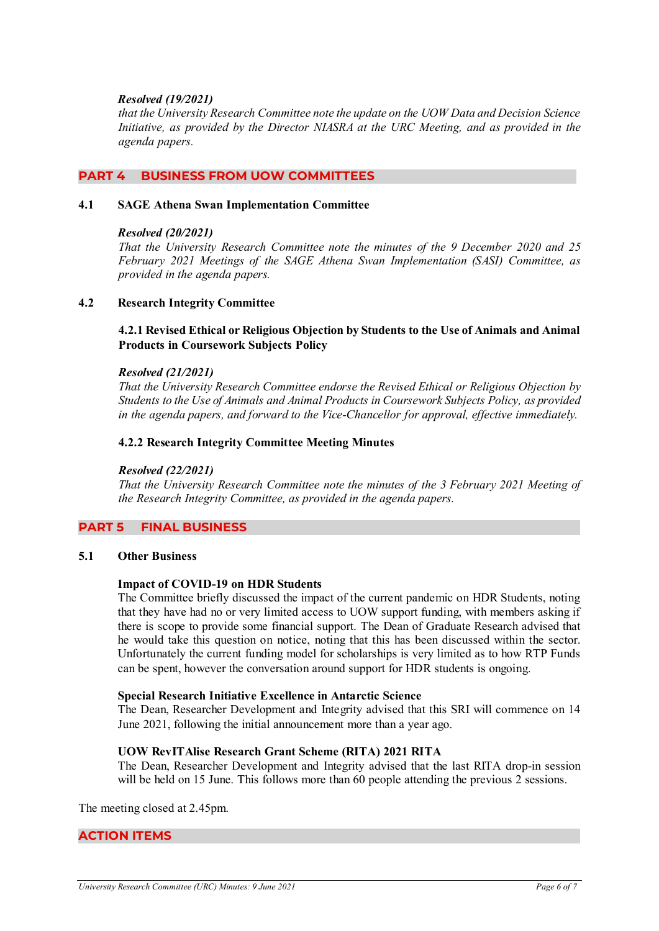## *Resolved (19/2021)*

*that the University Research Committee note the update on the UOW Data and Decision Science Initiative, as provided by the Director NIASRA at the URC Meeting, and as provided in the agenda papers.*

## **PART 4 BUSINESS FROM UOW COMMITTEES**

#### **4.1 SAGE Athena Swan Implementation Committee**

#### *Resolved (20/2021)*

*That the University Research Committee note the minutes of the 9 December 2020 and 25 February 2021 Meetings of the SAGE Athena Swan Implementation (SASI) Committee, as provided in the agenda papers.*

## **4.2 Research Integrity Committee**

**4.2.1 Revised Ethical or Religious Objection by Students to the Use of Animals and Animal Products in Coursework Subjects Policy** 

#### *Resolved (21/2021)*

*That the University Research Committee endorse the Revised Ethical or Religious Objection by Students to the Use of Animals and Animal Products in Coursework Subjects Policy, as provided in the agenda papers, and forward to the Vice-Chancellor for approval, effective immediately.* 

#### **4.2.2 Research Integrity Committee Meeting Minutes**

#### *Resolved (22/2021)*

*That the University Research Committee note the minutes of the 3 February 2021 Meeting of the Research Integrity Committee, as provided in the agenda papers.*

## **PART 5 FINAL BUSINESS**

#### **5.1 Other Business**

#### **Impact of COVID-19 on HDR Students**

The Committee briefly discussed the impact of the current pandemic on HDR Students, noting that they have had no or very limited access to UOW support funding, with members asking if there is scope to provide some financial support. The Dean of Graduate Research advised that he would take this question on notice, noting that this has been discussed within the sector. Unfortunately the current funding model for scholarships is very limited as to how RTP Funds can be spent, however the conversation around support for HDR students is ongoing.

#### **Special Research Initiative Excellence in Antarctic Science**

The Dean, Researcher Development and Integrity advised that this SRI will commence on 14 June 2021, following the initial announcement more than a year ago.

#### **UOW RevITAlise Research Grant Scheme (RITA) 2021 RITA**

The Dean, Researcher Development and Integrity advised that the last RITA drop-in session will be held on 15 June. This follows more than 60 people attending the previous 2 sessions.

The meeting closed at 2.45pm.

## **ACTION ITEMS**